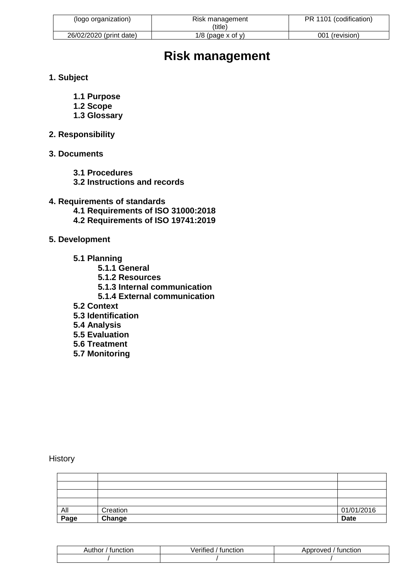| (logo organization)     | Risk management<br>(title) | PR 1101 (codification) |
|-------------------------|----------------------------|------------------------|
| 26/02/2020 (print date) | $1/8$ (page x of y)        | 001 (revision)         |

# **Risk management**

- **1. Subject**
	- **1.1 Purpose**
	- **1.2 Scope**
	- **1.3 Glossary**
- **2. Responsibility**
- **3. Documents**
	- **3.1 Procedures**
	- **3.2 Instructions and records**
- **4. Requirements of standards**
	- **4.1 Requirements of ISO 31000:2018**
	- **4.2 Requirements of ISO 19741:2019**
- **5. Development** 
	- **5.1 Planning**
		- **5.1.1 General**
		- **5.1.2 Resources**
		- **5.1.3 Internal communication**
		- **5.1.4 External communication**
	- **5.2 Context**
	- **5.3 Identification**
	- **5.4 Analysis**
	- **5.5 Evaluation**
	- **5.6 Treatment**
	- **5.7 Monitoring**

**History** 

| All  | Creation | 01/01/2016  |
|------|----------|-------------|
| Page | Change   | <b>Date</b> |

| . .+h.nr<br>tunction<br>Autnor | $\cdots$<br>$\sim$ rit<br>'unction<br>enned | oproved<br>tunction<br>ונור |
|--------------------------------|---------------------------------------------|-----------------------------|
|                                |                                             |                             |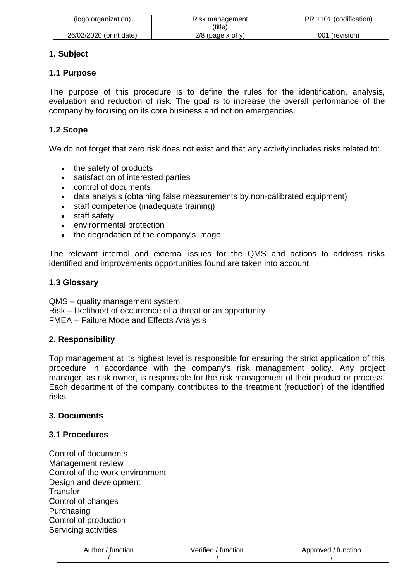| (logo organization)     | Risk management<br>(title) | PR 1101 (codification) |
|-------------------------|----------------------------|------------------------|
| 26/02/2020 (print date) | $2/8$ (page x of y)        | 001 (revision)         |

# **1. Subject**

# **1.1 Purpose**

The purpose of this procedure is to define the rules for the identification, analysis, evaluation and reduction of risk. The goal is to increase the overall performance of the company by focusing on its core business and not on emergencies.

# **1.2 Scope**

We do not forget that zero risk does not exist and that any activity includes risks related to:

- the safety of products
- satisfaction of interested parties
- control of documents
- data analysis (obtaining false measurements by non-calibrated equipment)
- staff competence (inadequate training)
- staff safety
- environmental protection
- the degradation of the company's image

The relevant internal and external issues for the QMS and actions to address risks identified and improvements opportunities found are taken into account.

# **1.3 Glossary**

QMS – quality management system Risk – likelihood of occurrence of a threat or an opportunity FMEA – Failure Mode and Effects Analysis

# **2. Responsibility**

Top management at its highest level is responsible for ensuring the strict application of this procedure in accordance with the company's risk management policy. Any project manager, as risk owner, is responsible for the risk management of their product or process. Each department of the company contributes to the treatment (reduction) of the identified risks.

### **3. Documents**

### **3.1 Procedures**

Control of documents Management review Control of the work environment Design and development **Transfer** Control of changes Purchasing Control of production Servicing activities

| unction<br>Author | $\cdots$<br>Verifiec<br>tunction | Approved<br>tunction |
|-------------------|----------------------------------|----------------------|
|                   |                                  |                      |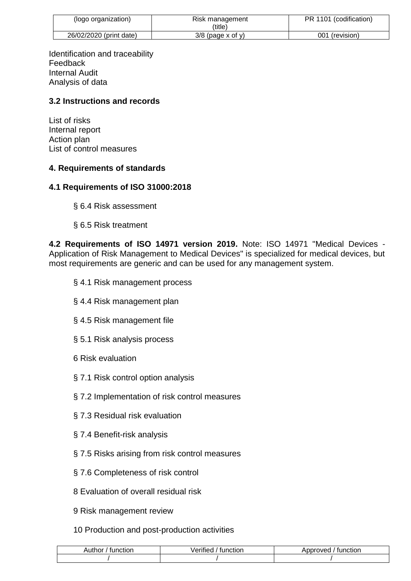| (logo organization)     | Risk management<br>(title) | PR 1101 (codification) |
|-------------------------|----------------------------|------------------------|
| 26/02/2020 (print date) | $3/8$ (page x of y)        | 001<br>(revision)      |

Identification and traceability Feedback Internal Audit Analysis of data

# **3.2 Instructions and records**

List of risks Internal report Action plan List of control measures

### **4. Requirements of standards**

### **4.1 Requirements of ISO 31000:2018**

- § 6.4 Risk assessment
- § 6.5 Risk treatment

**4.2 Requirements of ISO 14971 version 2019.** Note: ISO 14971 "Medical Devices - Application of Risk Management to Medical Devices" is specialized for medical devices, but most requirements are generic and can be used for any management system.

- § 4.1 Risk management process
- § 4.4 Risk management plan
- § 4.5 Risk management file
- § 5.1 Risk analysis process
- 6 Risk evaluation
- § 7.1 Risk control option analysis
- § 7.2 Implementation of risk control measures
- § 7.3 Residual risk evaluation
- § 7.4 Benefit-risk analysis
- § 7.5 Risks arising from risk control measures
- § 7.6 Completeness of risk control
- 8 Evaluation of overall residual risk
- 9 Risk management review
- 10 Production and post-production activities

| Author<br>tunction | $\cdots$<br>/erified<br>tunction | nnn100<br>function<br>ADDIOVEC |
|--------------------|----------------------------------|--------------------------------|
|                    |                                  |                                |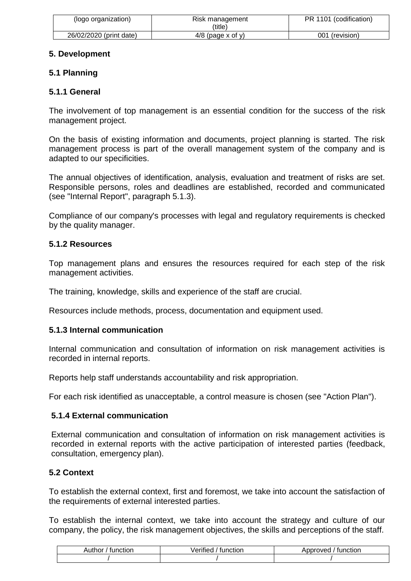| (logo organization)     | Risk management<br>(title) | PR 1101 (codification) |
|-------------------------|----------------------------|------------------------|
| 26/02/2020 (print date) | $4/8$ (page x of y)        | 001 (revision)         |

# **5. Development**

# **5.1 Planning**

# **5.1.1 General**

The involvement of top management is an essential condition for the success of the risk management project.

On the basis of existing information and documents, project planning is started. The risk management process is part of the overall management system of the company and is adapted to our specificities.

The annual objectives of identification, analysis, evaluation and treatment of risks are set. Responsible persons, roles and deadlines are established, recorded and communicated (see "Internal Report", paragraph 5.1.3).

Compliance of our company's processes with legal and regulatory requirements is checked by the quality manager.

# **5.1.2 Resources**

Top management plans and ensures the resources required for each step of the risk management activities.

The training, knowledge, skills and experience of the staff are crucial.

Resources include methods, process, documentation and equipment used.

### **5.1.3 Internal communication**

Internal communication and consultation of information on risk management activities is recorded in internal reports.

Reports help staff understands accountability and risk appropriation.

For each risk identified as unacceptable, a control measure is chosen (see "Action Plan").

### **5.1.4 External communication**

External communication and consultation of information on risk management activities is recorded in external reports with the active participation of interested parties (feedback, consultation, emergency plan).

### **5.2 Context**

To establish the external context, first and foremost, we take into account the satisfaction of the requirements of external interested parties.

To establish the internal context, we take into account the strategy and culture of our company, the policy, the risk management objectives, the skills and perceptions of the staff.

| Author<br>$1.1$ to $\sim$ .<br>nction | $\cdots$<br>.<br>function<br>еппес | function<br>onroved<br><b>ADDI</b> |
|---------------------------------------|------------------------------------|------------------------------------|
|                                       |                                    |                                    |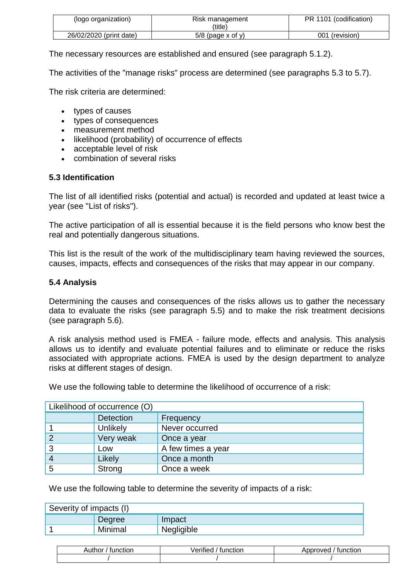| (logo organization)     | Risk management<br>(title) | PR 1101 (codification) |
|-------------------------|----------------------------|------------------------|
| 26/02/2020 (print date) | $5/8$ (page x of y)        | 001 (revision)         |

The necessary resources are established and ensured (see paragraph 5.1.2).

The activities of the "manage risks" process are determined (see paragraphs 5.3 to 5.7).

The risk criteria are determined:

- types of causes
- types of consequences
- measurement method
- likelihood (probability) of occurrence of effects
- acceptable level of risk
- combination of several risks

#### **5.3 Identification**

The list of all identified risks (potential and actual) is recorded and updated at least twice a year (see "List of risks").

The active participation of all is essential because it is the field persons who know best the real and potentially dangerous situations.

This list is the result of the work of the multidisciplinary team having reviewed the sources, causes, impacts, effects and consequences of the risks that may appear in our company.

#### **5.4 Analysis**

Determining the causes and consequences of the risks allows us to gather the necessary data to evaluate the risks (see paragraph 5.5) and to make the risk treatment decisions (see paragraph 5.6).

A risk analysis method used is FMEA - failure mode, effects and analysis. This analysis allows us to identify and evaluate potential failures and to eliminate or reduce the risks associated with appropriate actions. FMEA is used by the design department to analyze risks at different stages of design.

We use the following table to determine the likelihood of occurrence of a risk:

|                | Likelihood of occurrence (O) |                    |  |
|----------------|------------------------------|--------------------|--|
|                | Detection                    | Frequency          |  |
|                | Unlikely                     | Never occurred     |  |
| $\overline{2}$ | Very weak                    | Once a year        |  |
| 3              | Low                          | A few times a year |  |
| $\overline{4}$ | Likely                       | Once a month       |  |
| 5              | Strong                       | Once a week        |  |

We use the following table to determine the severity of impacts of a risk:

| Severity of impacts (I) |         |            |
|-------------------------|---------|------------|
|                         | Degree  | Impact     |
|                         | Minimal | Negligible |

| runctior<br>Author | $\cdots$<br>,,,,,,,<br>ction<br>. <u>.</u> | onroved<br>tunction<br>м |
|--------------------|--------------------------------------------|--------------------------|
|                    |                                            |                          |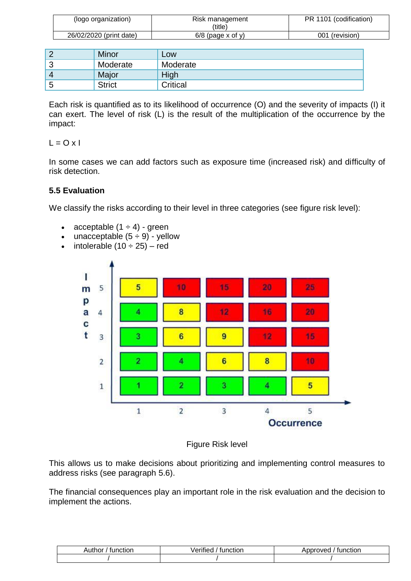| (logo organization)     | Risk management<br>(title) | PR 1101 (codification) |
|-------------------------|----------------------------|------------------------|
| 26/02/2020 (print date) | $6/8$ (page x of y)        | 001 (revision)         |

|            | Minor         | Low      |
|------------|---------------|----------|
| ≏<br>J     | Moderate      | Moderate |
| $\sqrt{ }$ | Major         | High     |
| 5          | <b>Strict</b> | Critical |

Each risk is quantified as to its likelihood of occurrence (O) and the severity of impacts (I) it can exert. The level of risk (L) is the result of the multiplication of the occurrence by the impact:

 $L = O x l$ 

In some cases we can add factors such as exposure time (increased risk) and difficulty of risk detection.

# **5.5 Evaluation**

We classify the risks according to their level in three categories (see figure risk level):

- acceptable  $(1 \div 4)$  green
- unacceptable  $(5 \div 9)$  yellow
- $\bullet$  intolerable (10  $\div$  25) red



Figure Risk level

This allows us to make decisions about prioritizing and implementing control measures to address risks (see paragraph 5.6).

The financial consequences play an important role in the risk evaluation and the decision to implement the actions.

| Author<br>runctior | $\cdots$<br>/erifiec<br>tunction | tunction<br>.<br>over<br>ונזנז |
|--------------------|----------------------------------|--------------------------------|
|                    |                                  |                                |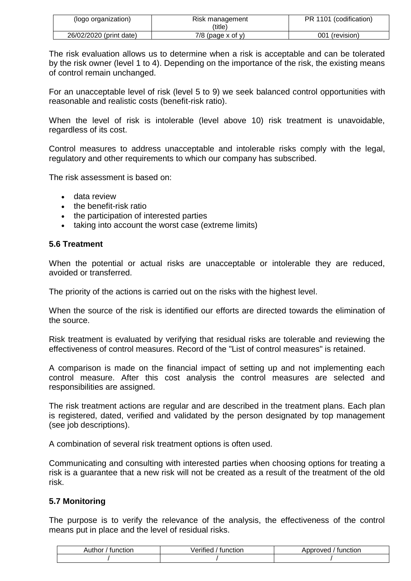| (logo organization)     | Risk management<br>′title) | PR 1101 (codification) |
|-------------------------|----------------------------|------------------------|
| 26/02/2020 (print date) | $7/8$ (page x of y)        | 001 (revision)         |

The risk evaluation allows us to determine when a risk is acceptable and can be tolerated by the risk owner (level 1 to 4). Depending on the importance of the risk, the existing means of control remain unchanged.

For an unacceptable level of risk (level 5 to 9) we seek balanced control opportunities with reasonable and realistic costs (benefit-risk ratio).

When the level of risk is intolerable (level above 10) risk treatment is unavoidable, regardless of its cost.

Control measures to address unacceptable and intolerable risks comply with the legal, regulatory and other requirements to which our company has subscribed.

The risk assessment is based on:

- data review
- the benefit-risk ratio
- the participation of interested parties
- taking into account the worst case (extreme limits)

#### **5.6 Treatment**

When the potential or actual risks are unacceptable or intolerable they are reduced, avoided or transferred.

The priority of the actions is carried out on the risks with the highest level.

When the source of the risk is identified our efforts are directed towards the elimination of the source.

Risk treatment is evaluated by verifying that residual risks are tolerable and reviewing the effectiveness of control measures. Record of the "List of control measures" is retained.

A comparison is made on the financial impact of setting up and not implementing each control measure. After this cost analysis the control measures are selected and responsibilities are assigned.

The risk treatment actions are regular and are described in the treatment plans. Each plan is registered, dated, verified and validated by the person designated by top management (see job descriptions).

A combination of several risk treatment options is often used.

Communicating and consulting with interested parties when choosing options for treating a risk is a guarantee that a new risk will not be created as a result of the treatment of the old risk.

### **5.7 Monitoring**

The purpose is to verify the relevance of the analysis, the effectiveness of the control means put in place and the level of residual risks.

| Author<br>tunction | $\cdots$<br>Verified<br>tunction | Approved<br>tunction<br>ADDI |
|--------------------|----------------------------------|------------------------------|
|                    |                                  |                              |